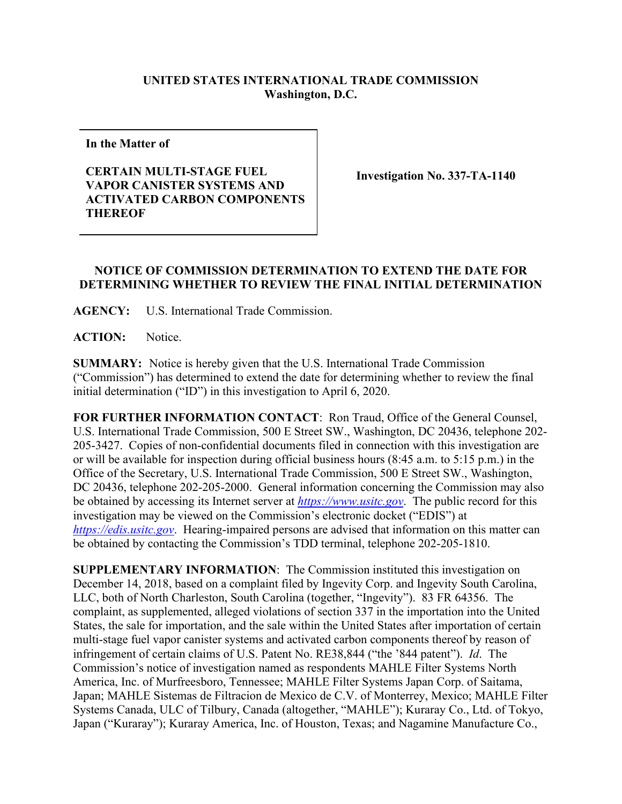## **UNITED STATES INTERNATIONAL TRADE COMMISSION Washington, D.C.**

**In the Matter of**

## **CERTAIN MULTI-STAGE FUEL VAPOR CANISTER SYSTEMS AND ACTIVATED CARBON COMPONENTS THEREOF**

**Investigation No. 337-TA-1140**

## **NOTICE OF COMMISSION DETERMINATION TO EXTEND THE DATE FOR DETERMINING WHETHER TO REVIEW THE FINAL INITIAL DETERMINATION**

**AGENCY:** U.S. International Trade Commission.

**ACTION:** Notice.

**SUMMARY:** Notice is hereby given that the U.S. International Trade Commission ("Commission") has determined to extend the date for determining whether to review the final initial determination ("ID") in this investigation to April 6, 2020.

**FOR FURTHER INFORMATION CONTACT**: Ron Traud, Office of the General Counsel, U.S. International Trade Commission, 500 E Street SW., Washington, DC 20436, telephone 202- 205-3427. Copies of non-confidential documents filed in connection with this investigation are or will be available for inspection during official business hours (8:45 a.m. to 5:15 p.m.) in the Office of the Secretary, U.S. International Trade Commission, 500 E Street SW., Washington, DC 20436, telephone 202-205-2000. General information concerning the Commission may also be obtained by accessing its Internet server at *[https://www.usitc.gov](https://www.usitc.gov/)*. The public record for this investigation may be viewed on the Commission's electronic docket ("EDIS") at *[https://edis.usitc.gov](https://edis.usitc.gov/)*. Hearing-impaired persons are advised that information on this matter can be obtained by contacting the Commission's TDD terminal, telephone 202-205-1810.

**SUPPLEMENTARY INFORMATION**: The Commission instituted this investigation on December 14, 2018, based on a complaint filed by Ingevity Corp. and Ingevity South Carolina, LLC, both of North Charleston, South Carolina (together, "Ingevity"). 83 FR 64356. The complaint, as supplemented, alleged violations of section 337 in the importation into the United States, the sale for importation, and the sale within the United States after importation of certain multi-stage fuel vapor canister systems and activated carbon components thereof by reason of infringement of certain claims of U.S. Patent No. RE38,844 ("the '844 patent"). *Id*. The Commission's notice of investigation named as respondents MAHLE Filter Systems North America, Inc. of Murfreesboro, Tennessee; MAHLE Filter Systems Japan Corp. of Saitama, Japan; MAHLE Sistemas de Filtracion de Mexico de C.V. of Monterrey, Mexico; MAHLE Filter Systems Canada, ULC of Tilbury, Canada (altogether, "MAHLE"); Kuraray Co., Ltd. of Tokyo, Japan ("Kuraray"); Kuraray America, Inc. of Houston, Texas; and Nagamine Manufacture Co.,